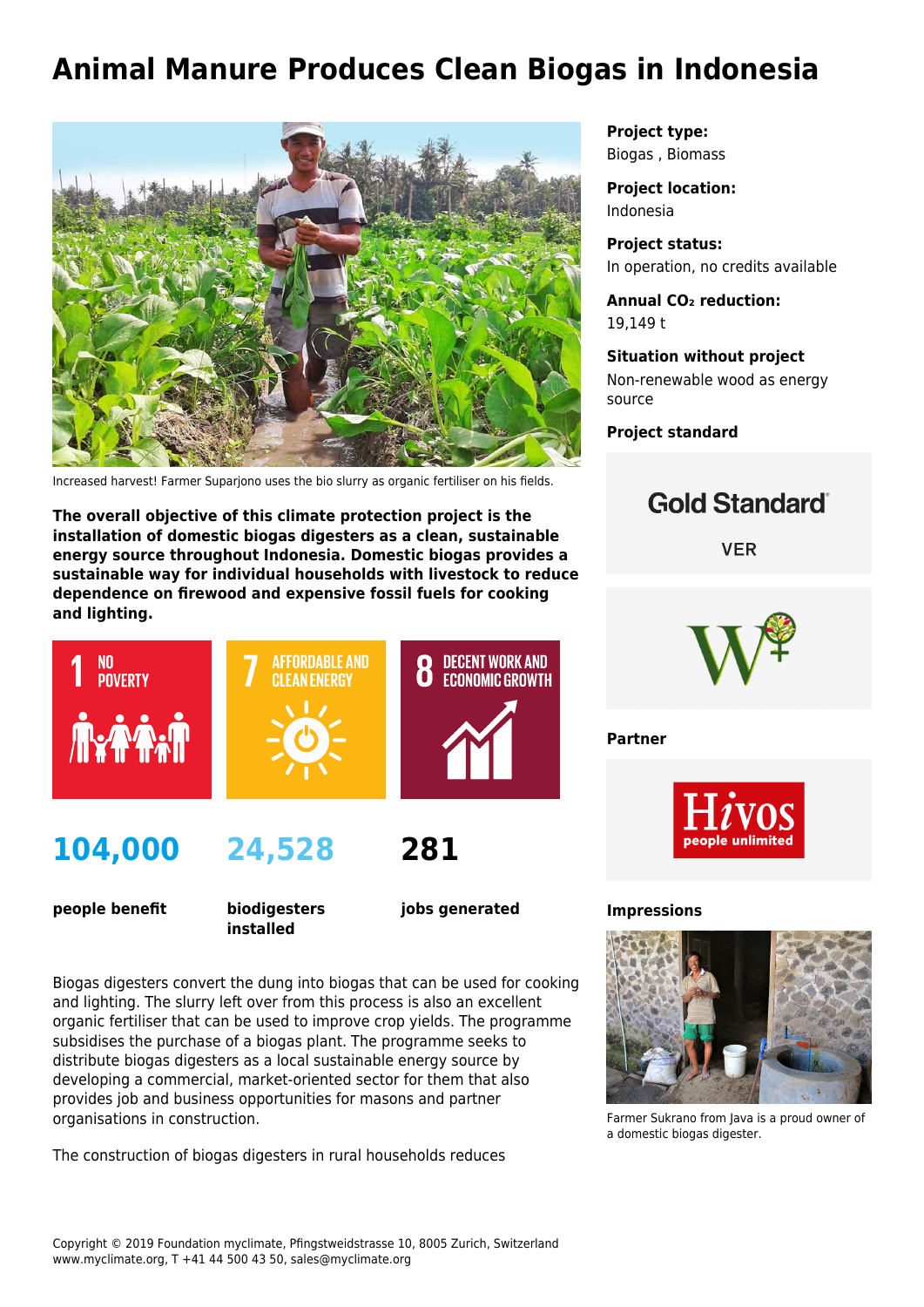# **Animal Manure Produces Clean Biogas in Indonesia**



Increased harvest! Farmer Suparjono uses the bio slurry as organic fertiliser on his fields.

**The overall objective of this climate protection project is the installation of domestic biogas digesters as a clean, sustainable energy source throughout Indonesia. Domestic biogas provides a sustainable way for individual households with livestock to reduce dependence on firewood and expensive fossil fuels for cooking and lighting.**



## **104,000**

**people benefit**

**biodigesters installed**

**jobs generated**

**281**

Biogas digesters convert the dung into biogas that can be used for cooking and lighting. The slurry left over from this process is also an excellent organic fertiliser that can be used to improve crop yields. The programme subsidises the purchase of a biogas plant. The programme seeks to distribute biogas digesters as a local sustainable energy source by developing a commercial, market-oriented sector for them that also provides job and business opportunities for masons and partner organisations in construction.

The construction of biogas digesters in rural households reduces

**Project type:** Biogas , Biomass

**Project location:** Indonesia

**Project status:** In operation, no credits available

**Annual CO₂ reduction:** 19,149 t

**Situation without project** Non-renewable wood as energy source

**Project standard**





**Partner**



**Impressions**



Farmer Sukrano from Java is a proud owner of a domestic biogas digester.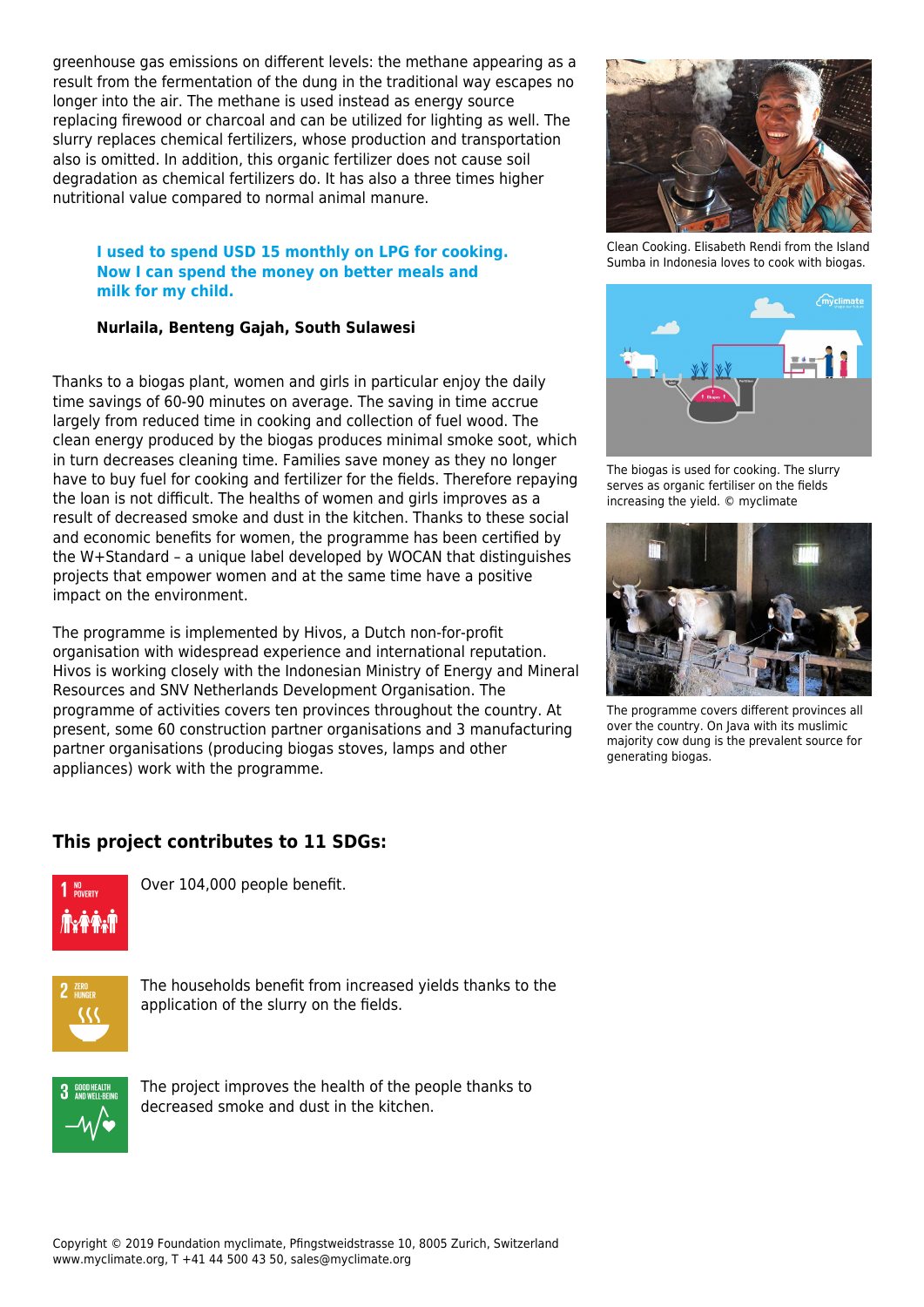greenhouse gas emissions on different levels: the methane appearing as a result from the fermentation of the dung in the traditional way escapes no longer into the air. The methane is used instead as energy source replacing firewood or charcoal and can be utilized for lighting as well. The slurry replaces chemical fertilizers, whose production and transportation also is omitted. In addition, this organic fertilizer does not cause soil degradation as chemical fertilizers do. It has also a three times higher nutritional value compared to normal animal manure.

#### **I used to spend USD 15 monthly on LPG for cooking. Now I can spend the money on better meals and milk for my child.**

### **Nurlaila, Benteng Gajah, South Sulawesi**

Thanks to a biogas plant, women and girls in particular enjoy the daily time savings of 60-90 minutes on average. The saving in time accrue largely from reduced time in cooking and collection of fuel wood. The clean energy produced by the biogas produces minimal smoke soot, which in turn decreases cleaning time. Families save money as they no longer have to buy fuel for cooking and fertilizer for the fields. Therefore repaying the loan is not difficult. The healths of women and girls improves as a result of decreased smoke and dust in the kitchen. Thanks to these social and economic benefits for women, the programme has been certified by the W+Standard – a unique label developed by WOCAN that distinguishes projects that empower women and at the same time have a positive impact on the environment.

The programme is implemented by Hivos, a Dutch non-for-profit organisation with widespread experience and international reputation. Hivos is working closely with the Indonesian Ministry of Energy and Mineral Resources and SNV Netherlands Development Organisation. The programme of activities covers ten provinces throughout the country. At present, some 60 construction partner organisations and 3 manufacturing partner organisations (producing biogas stoves, lamps and other appliances) work with the programme.

Clean Cooking. Elisabeth Rendi from the Island Sumba in Indonesia loves to cook with biogas.



The biogas is used for cooking. The slurry serves as organic fertiliser on the fields increasing the yield. © myclimate



The programme covers different provinces all over the country. On Java with its muslimic majority cow dung is the prevalent source for generating biogas.

## **This project contributes to 11 SDGs:**



Over 104,000 people benefit.



The households benefit from increased yields thanks to the application of the slurry on the fields.



The project improves the health of the people thanks to decreased smoke and dust in the kitchen.